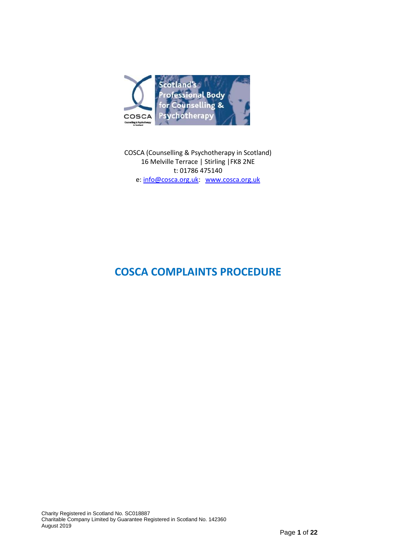

COSCA (Counselling & Psychotherapy in Scotland) 16 Melville Terrace | Stirling |FK8 2NE t: 01786 475140 e: [info@cosca.org.uk:](mailto:info@cosca.org.uk) [www.cosca.org.uk](http://www.cosca.org.uk/)

# **COSCA COMPLAINTS PROCEDURE**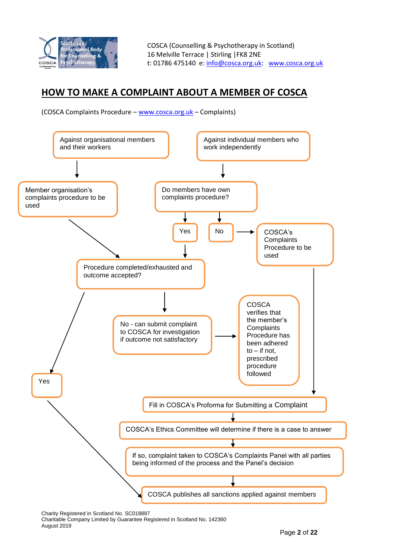

## **HOW TO MAKE A COMPLAINT ABOUT A MEMBER OF COSCA**

(COSCA Complaints Procedure – [www.cosca.org.uk](http://www.cosca.org.uk/) – Complaints)



Charity Registered in Scotland No. SC018887

Charitable Company Limited by Guarantee Registered in Scotland No. 142360 August 2019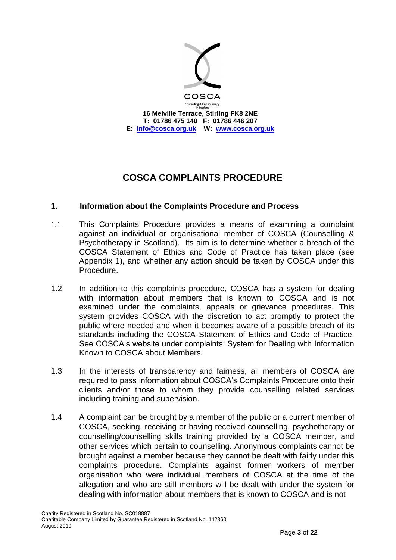

## **COSCA COMPLAINTS PROCEDURE**

## **1. Information about the Complaints Procedure and Process**

- 1.1 This Complaints Procedure provides a means of examining a complaint against an individual or organisational member of COSCA (Counselling & Psychotherapy in Scotland). Its aim is to determine whether a breach of the COSCA Statement of Ethics and Code of Practice has taken place (see Appendix 1), and whether any action should be taken by COSCA under this Procedure.
- 1.2 In addition to this complaints procedure, COSCA has a system for dealing with information about members that is known to COSCA and is not examined under the complaints, appeals or grievance procedures. This system provides COSCA with the discretion to act promptly to protect the public where needed and when it becomes aware of a possible breach of its standards including the COSCA Statement of Ethics and Code of Practice. See COSCA's website under complaints: System for Dealing with Information Known to COSCA about Members.
- 1.3 In the interests of transparency and fairness, all members of COSCA are required to pass information about COSCA's Complaints Procedure onto their clients and/or those to whom they provide counselling related services including training and supervision.
- 1.4 A complaint can be brought by a member of the public or a current member of COSCA, seeking, receiving or having received counselling, psychotherapy or counselling/counselling skills training provided by a COSCA member, and other services which pertain to counselling. Anonymous complaints cannot be brought against a member because they cannot be dealt with fairly under this complaints procedure. Complaints against former workers of member organisation who were individual members of COSCA at the time of the allegation and who are still members will be dealt with under the system for dealing with information about members that is known to COSCA and is not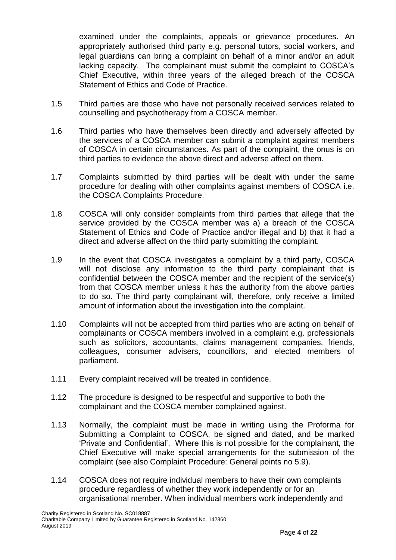examined under the complaints, appeals or grievance procedures. An appropriately authorised third party e.g. personal tutors, social workers, and legal guardians can bring a complaint on behalf of a minor and/or an adult lacking capacity. The complainant must submit the complaint to COSCA's Chief Executive, within three years of the alleged breach of the COSCA Statement of Ethics and Code of Practice.

- 1.5 Third parties are those who have not personally received services related to counselling and psychotherapy from a COSCA member.
- 1.6 Third parties who have themselves been directly and adversely affected by the services of a COSCA member can submit a complaint against members of COSCA in certain circumstances. As part of the complaint, the onus is on third parties to evidence the above direct and adverse affect on them.
- 1.7 Complaints submitted by third parties will be dealt with under the same procedure for dealing with other complaints against members of COSCA i.e. the COSCA Complaints Procedure.
- 1.8 COSCA will only consider complaints from third parties that allege that the service provided by the COSCA member was a) a breach of the COSCA Statement of Ethics and Code of Practice and/or illegal and b) that it had a direct and adverse affect on the third party submitting the complaint.
- 1.9 In the event that COSCA investigates a complaint by a third party, COSCA will not disclose any information to the third party complainant that is confidential between the COSCA member and the recipient of the service(s) from that COSCA member unless it has the authority from the above parties to do so. The third party complainant will, therefore, only receive a limited amount of information about the investigation into the complaint.
- 1.10 Complaints will not be accepted from third parties who are acting on behalf of complainants or COSCA members involved in a complaint e.g. professionals such as solicitors, accountants, claims management companies, friends, colleagues, consumer advisers, councillors, and elected members of parliament.
- 1.11 Every complaint received will be treated in confidence.
- 1.12 The procedure is designed to be respectful and supportive to both the complainant and the COSCA member complained against.
- 1.13 Normally, the complaint must be made in writing using the Proforma for Submitting a Complaint to COSCA, be signed and dated, and be marked 'Private and Confidential'. Where this is not possible for the complainant, the Chief Executive will make special arrangements for the submission of the complaint (see also Complaint Procedure: General points no 5.9).
- 1.14 COSCA does not require individual members to have their own complaints procedure regardless of whether they work independently or for an organisational member. When individual members work independently and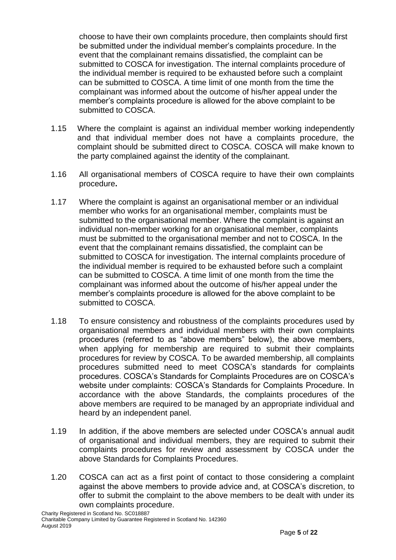choose to have their own complaints procedure, then complaints should first be submitted under the individual member's complaints procedure. In the event that the complainant remains dissatisfied, the complaint can be submitted to COSCA for investigation. The internal complaints procedure of the individual member is required to be exhausted before such a complaint can be submitted to COSCA. A time limit of one month from the time the complainant was informed about the outcome of his/her appeal under the member's complaints procedure is allowed for the above complaint to be submitted to COSCA.

- 1.15 Where the complaint is against an individual member working independently and that individual member does not have a complaints procedure, the complaint should be submitted direct to COSCA. COSCA will make known to the party complained against the identity of the complainant.
- 1.16 All organisational members of COSCA require to have their own complaints procedure**.**
- 1.17 Where the complaint is against an organisational member or an individual member who works for an organisational member, complaints must be submitted to the organisational member. Where the complaint is against an individual non-member working for an organisational member, complaints must be submitted to the organisational member and not to COSCA. In the event that the complainant remains dissatisfied, the complaint can be submitted to COSCA for investigation. The internal complaints procedure of the individual member is required to be exhausted before such a complaint can be submitted to COSCA. A time limit of one month from the time the complainant was informed about the outcome of his/her appeal under the member's complaints procedure is allowed for the above complaint to be submitted to COSCA.
- 1.18 To ensure consistency and robustness of the complaints procedures used by organisational members and individual members with their own complaints procedures (referred to as "above members" below), the above members, when applying for membership are required to submit their complaints procedures for review by COSCA. To be awarded membership, all complaints procedures submitted need to meet COSCA's standards for complaints procedures. COSCA's Standards for Complaints Procedures are on COSCA's website under complaints: COSCA's Standards for Complaints Procedure. In accordance with the above Standards, the complaints procedures of the above members are required to be managed by an appropriate individual and heard by an independent panel.
- 1.19 In addition, if the above members are selected under COSCA's annual audit of organisational and individual members, they are required to submit their complaints procedures for review and assessment by COSCA under the above Standards for Complaints Procedures.
- 1.20 COSCA can act as a first point of contact to those considering a complaint against the above members to provide advice and, at COSCA's discretion, to offer to submit the complaint to the above members to be dealt with under its own complaints procedure.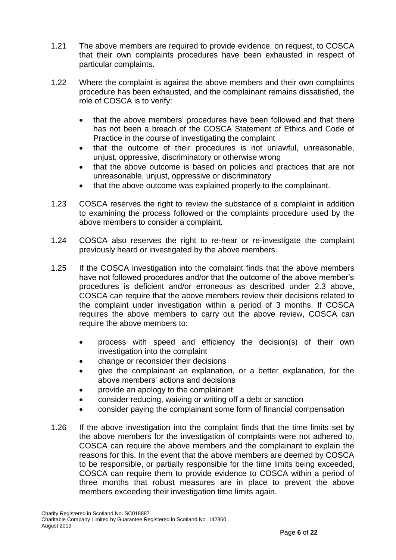- 1.21 The above members are required to provide evidence, on request, to COSCA that their own complaints procedures have been exhausted in respect of particular complaints.
- 1.22 Where the complaint is against the above members and their own complaints procedure has been exhausted, and the complainant remains dissatisfied, the role of COSCA is to verify:
	- that the above members' procedures have been followed and that there has not been a breach of the COSCA Statement of Ethics and Code of Practice in the course of investigating the complaint
	- that the outcome of their procedures is not unlawful, unreasonable, unjust, oppressive, discriminatory or otherwise wrong
	- that the above outcome is based on policies and practices that are not unreasonable, unjust, oppressive or discriminatory
	- that the above outcome was explained properly to the complainant.
- 1.23 COSCA reserves the right to review the substance of a complaint in addition to examining the process followed or the complaints procedure used by the above members to consider a complaint.
- 1.24 COSCA also reserves the right to re-hear or re-investigate the complaint previously heard or investigated by the above members.
- 1.25 If the COSCA investigation into the complaint finds that the above members have not followed procedures and/or that the outcome of the above member's procedures is deficient and/or erroneous as described under 2.3 above, COSCA can require that the above members review their decisions related to the complaint under investigation within a period of 3 months. If COSCA requires the above members to carry out the above review, COSCA can require the above members to:
	- process with speed and efficiency the decision(s) of their own investigation into the complaint
	- change or reconsider their decisions
	- give the complainant an explanation, or a better explanation, for the above members' actions and decisions
	- provide an apology to the complainant
	- consider reducing, waiving or writing off a debt or sanction
	- consider paying the complainant some form of financial compensation
- 1.26 If the above investigation into the complaint finds that the time limits set by the above members for the investigation of complaints were not adhered to, COSCA can require the above members and the complainant to explain the reasons for this. In the event that the above members are deemed by COSCA to be responsible, or partially responsible for the time limits being exceeded, COSCA can require them to provide evidence to COSCA within a period of three months that robust measures are in place to prevent the above members exceeding their investigation time limits again.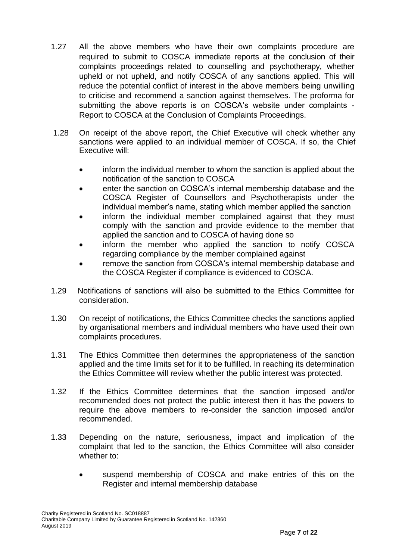- 1.27 All the above members who have their own complaints procedure are required to submit to COSCA immediate reports at the conclusion of their complaints proceedings related to counselling and psychotherapy, whether upheld or not upheld, and notify COSCA of any sanctions applied. This will reduce the potential conflict of interest in the above members being unwilling to criticise and recommend a sanction against themselves. The proforma for submitting the above reports is on COSCA's website under complaints - Report to COSCA at the Conclusion of Complaints Proceedings.
- 1.28 On receipt of the above report, the Chief Executive will check whether any sanctions were applied to an individual member of COSCA. If so, the Chief Executive will:
	- inform the individual member to whom the sanction is applied about the notification of the sanction to COSCA
	- enter the sanction on COSCA's internal membership database and the COSCA Register of Counsellors and Psychotherapists under the individual member's name, stating which member applied the sanction
	- inform the individual member complained against that they must comply with the sanction and provide evidence to the member that applied the sanction and to COSCA of having done so
	- inform the member who applied the sanction to notify COSCA regarding compliance by the member complained against
	- remove the sanction from COSCA's internal membership database and the COSCA Register if compliance is evidenced to COSCA.
- 1.29 Notifications of sanctions will also be submitted to the Ethics Committee for consideration.
- 1.30 On receipt of notifications, the Ethics Committee checks the sanctions applied by organisational members and individual members who have used their own complaints procedures.
- 1.31 The Ethics Committee then determines the appropriateness of the sanction applied and the time limits set for it to be fulfilled. In reaching its determination the Ethics Committee will review whether the public interest was protected.
- 1.32 If the Ethics Committee determines that the sanction imposed and/or recommended does not protect the public interest then it has the powers to require the above members to re-consider the sanction imposed and/or recommended.
- 1.33 Depending on the nature, seriousness, impact and implication of the complaint that led to the sanction, the Ethics Committee will also consider whether to:
	- suspend membership of COSCA and make entries of this on the Register and internal membership database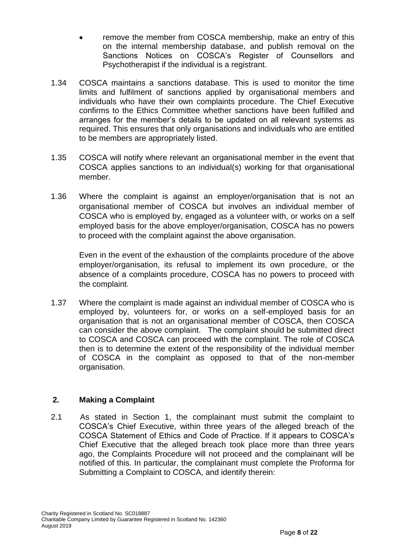- remove the member from COSCA membership, make an entry of this on the internal membership database, and publish removal on the Sanctions Notices on COSCA's Register of Counsellors and Psychotherapist if the individual is a registrant.
- 1.34 COSCA maintains a sanctions database. This is used to monitor the time limits and fulfilment of sanctions applied by organisational members and individuals who have their own complaints procedure. The Chief Executive confirms to the Ethics Committee whether sanctions have been fulfilled and arranges for the member's details to be updated on all relevant systems as required. This ensures that only organisations and individuals who are entitled to be members are appropriately listed.
- 1.35 COSCA will notify where relevant an organisational member in the event that COSCA applies sanctions to an individual(s) working for that organisational member.
- 1.36 Where the complaint is against an employer/organisation that is not an organisational member of COSCA but involves an individual member of COSCA who is employed by, engaged as a volunteer with, or works on a self employed basis for the above employer/organisation, COSCA has no powers to proceed with the complaint against the above organisation.

Even in the event of the exhaustion of the complaints procedure of the above employer/organisation, its refusal to implement its own procedure, or the absence of a complaints procedure, COSCA has no powers to proceed with the complaint.

1.37 Where the complaint is made against an individual member of COSCA who is employed by, volunteers for, or works on a self-employed basis for an organisation that is not an organisational member of COSCA, then COSCA can consider the above complaint. The complaint should be submitted direct to COSCA and COSCA can proceed with the complaint. The role of COSCA then is to determine the extent of the responsibility of the individual member of COSCA in the complaint as opposed to that of the non-member organisation.

## **2. Making a Complaint**

2.1 As stated in Section 1, the complainant must submit the complaint to COSCA's Chief Executive, within three years of the alleged breach of the COSCA Statement of Ethics and Code of Practice. If it appears to COSCA's Chief Executive that the alleged breach took place more than three years ago, the Complaints Procedure will not proceed and the complainant will be notified of this. In particular, the complainant must complete the Proforma for Submitting a Complaint to COSCA, and identify therein: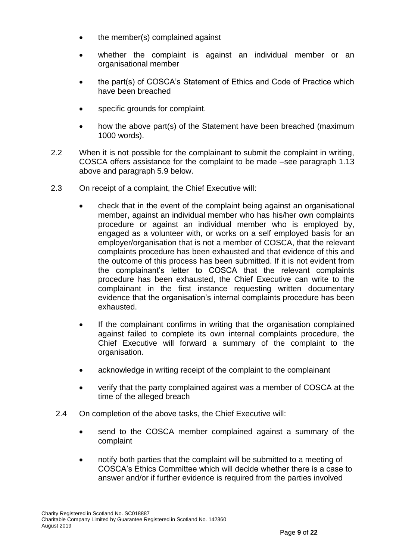- the member(s) complained against
- whether the complaint is against an individual member or an organisational member
- the part(s) of COSCA's Statement of Ethics and Code of Practice which have been breached
- specific grounds for complaint.
- how the above part(s) of the Statement have been breached (maximum 1000 words).
- 2.2 When it is not possible for the complainant to submit the complaint in writing, COSCA offers assistance for the complaint to be made –see paragraph 1.13 above and paragraph 5.9 below.
- 2.3 On receipt of a complaint, the Chief Executive will:
	- check that in the event of the complaint being against an organisational member, against an individual member who has his/her own complaints procedure or against an individual member who is employed by, engaged as a volunteer with, or works on a self employed basis for an employer/organisation that is not a member of COSCA, that the relevant complaints procedure has been exhausted and that evidence of this and the outcome of this process has been submitted. If it is not evident from the complainant's letter to COSCA that the relevant complaints procedure has been exhausted, the Chief Executive can write to the complainant in the first instance requesting written documentary evidence that the organisation's internal complaints procedure has been exhausted.
	- If the complainant confirms in writing that the organisation complained against failed to complete its own internal complaints procedure, the Chief Executive will forward a summary of the complaint to the organisation.
	- acknowledge in writing receipt of the complaint to the complainant
	- verify that the party complained against was a member of COSCA at the time of the alleged breach
	- 2.4 On completion of the above tasks, the Chief Executive will:
		- send to the COSCA member complained against a summary of the complaint
		- notify both parties that the complaint will be submitted to a meeting of COSCA's Ethics Committee which will decide whether there is a case to answer and/or if further evidence is required from the parties involved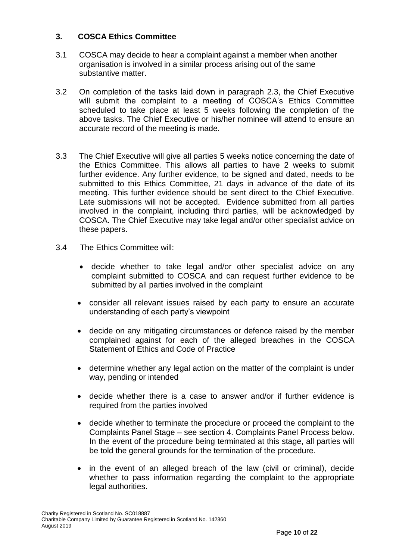#### **3. COSCA Ethics Committee**

- 3.1 COSCA may decide to hear a complaint against a member when another organisation is involved in a similar process arising out of the same substantive matter.
- 3.2 On completion of the tasks laid down in paragraph 2.3, the Chief Executive will submit the complaint to a meeting of COSCA's Ethics Committee scheduled to take place at least 5 weeks following the completion of the above tasks. The Chief Executive or his/her nominee will attend to ensure an accurate record of the meeting is made.
- 3.3 The Chief Executive will give all parties 5 weeks notice concerning the date of the Ethics Committee. This allows all parties to have 2 weeks to submit further evidence. Any further evidence, to be signed and dated, needs to be submitted to this Ethics Committee, 21 days in advance of the date of its meeting. This further evidence should be sent direct to the Chief Executive. Late submissions will not be accepted. Evidence submitted from all parties involved in the complaint, including third parties, will be acknowledged by COSCA. The Chief Executive may take legal and/or other specialist advice on these papers.
- 3.4 The Ethics Committee will:
	- decide whether to take legal and/or other specialist advice on any complaint submitted to COSCA and can request further evidence to be submitted by all parties involved in the complaint
	- consider all relevant issues raised by each party to ensure an accurate understanding of each party's viewpoint
	- decide on any mitigating circumstances or defence raised by the member complained against for each of the alleged breaches in the COSCA Statement of Ethics and Code of Practice
	- determine whether any legal action on the matter of the complaint is under way, pending or intended
	- decide whether there is a case to answer and/or if further evidence is required from the parties involved
	- decide whether to terminate the procedure or proceed the complaint to the Complaints Panel Stage – see section 4. Complaints Panel Process below. In the event of the procedure being terminated at this stage, all parties will be told the general grounds for the termination of the procedure.
	- in the event of an alleged breach of the law (civil or criminal), decide whether to pass information regarding the complaint to the appropriate legal authorities.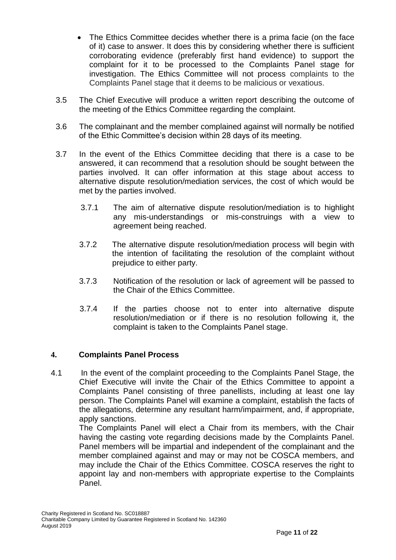- The Ethics Committee decides whether there is a prima facie (on the face of it) case to answer. It does this by considering whether there is sufficient corroborating evidence (preferably first hand evidence) to support the complaint for it to be processed to the Complaints Panel stage for investigation. The Ethics Committee will not process complaints to the Complaints Panel stage that it deems to be malicious or vexatious.
- 3.5 The Chief Executive will produce a written report describing the outcome of the meeting of the Ethics Committee regarding the complaint.
- 3.6 The complainant and the member complained against will normally be notified of the Ethic Committee's decision within 28 days of its meeting.
- 3.7 In the event of the Ethics Committee deciding that there is a case to be answered, it can recommend that a resolution should be sought between the parties involved. It can offer information at this stage about access to alternative dispute resolution/mediation services, the cost of which would be met by the parties involved.
	- 3.7.1 The aim of alternative dispute resolution/mediation is to highlight any mis-understandings or mis-construings with a view to agreement being reached.
	- 3.7.2 The alternative dispute resolution/mediation process will begin with the intention of facilitating the resolution of the complaint without prejudice to either party.
	- 3.7.3 Notification of the resolution or lack of agreement will be passed to the Chair of the Ethics Committee.
	- 3.7.4 If the parties choose not to enter into alternative dispute resolution/mediation or if there is no resolution following it, the complaint is taken to the Complaints Panel stage.

## **4. Complaints Panel Process**

4.1 In the event of the complaint proceeding to the Complaints Panel Stage, the Chief Executive will invite the Chair of the Ethics Committee to appoint a Complaints Panel consisting of three panellists, including at least one lay person. The Complaints Panel will examine a complaint, establish the facts of the allegations, determine any resultant harm/impairment, and, if appropriate, apply sanctions.

The Complaints Panel will elect a Chair from its members, with the Chair having the casting vote regarding decisions made by the Complaints Panel. Panel members will be impartial and independent of the complainant and the member complained against and may or may not be COSCA members, and may include the Chair of the Ethics Committee. COSCA reserves the right to appoint lay and non-members with appropriate expertise to the Complaints Panel.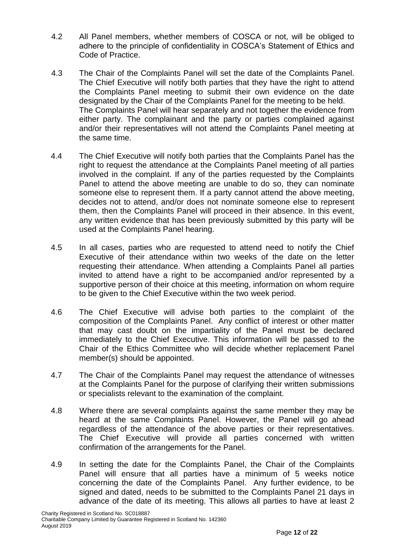- 4.2 All Panel members, whether members of COSCA or not, will be obliged to adhere to the principle of confidentiality in COSCA's Statement of Ethics and Code of Practice.
- 4.3 The Chair of the Complaints Panel will set the date of the Complaints Panel. The Chief Executive will notify both parties that they have the right to attend the Complaints Panel meeting to submit their own evidence on the date designated by the Chair of the Complaints Panel for the meeting to be held. The Complaints Panel will hear separately and not together the evidence from either party. The complainant and the party or parties complained against and/or their representatives will not attend the Complaints Panel meeting at the same time.
- 4.4 The Chief Executive will notify both parties that the Complaints Panel has the right to request the attendance at the Complaints Panel meeting of all parties involved in the complaint. If any of the parties requested by the Complaints Panel to attend the above meeting are unable to do so, they can nominate someone else to represent them. If a party cannot attend the above meeting, decides not to attend, and/or does not nominate someone else to represent them, then the Complaints Panel will proceed in their absence. In this event, any written evidence that has been previously submitted by this party will be used at the Complaints Panel hearing.
- 4.5 In all cases, parties who are requested to attend need to notify the Chief Executive of their attendance within two weeks of the date on the letter requesting their attendance. When attending a Complaints Panel all parties invited to attend have a right to be accompanied and/or represented by a supportive person of their choice at this meeting, information on whom require to be given to the Chief Executive within the two week period.
- 4.6 The Chief Executive will advise both parties to the complaint of the composition of the Complaints Panel. Any conflict of interest or other matter that may cast doubt on the impartiality of the Panel must be declared immediately to the Chief Executive. This information will be passed to the Chair of the Ethics Committee who will decide whether replacement Panel member(s) should be appointed.
- 4.7 The Chair of the Complaints Panel may request the attendance of witnesses at the Complaints Panel for the purpose of clarifying their written submissions or specialists relevant to the examination of the complaint.
- 4.8 Where there are several complaints against the same member they may be heard at the same Complaints Panel. However, the Panel will go ahead regardless of the attendance of the above parties or their representatives. The Chief Executive will provide all parties concerned with written confirmation of the arrangements for the Panel.
- 4.9 In setting the date for the Complaints Panel, the Chair of the Complaints Panel will ensure that all parties have a minimum of 5 weeks notice concerning the date of the Complaints Panel. Any further evidence, to be signed and dated, needs to be submitted to the Complaints Panel 21 days in advance of the date of its meeting. This allows all parties to have at least 2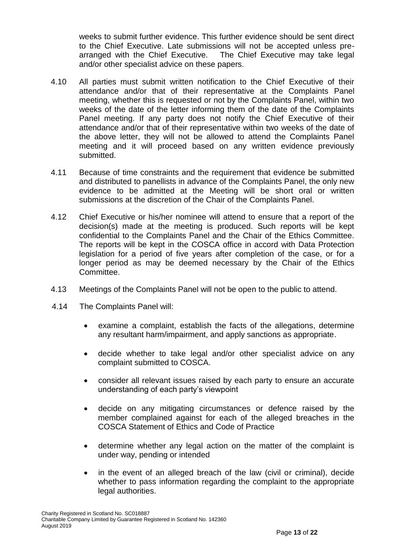weeks to submit further evidence. This further evidence should be sent direct to the Chief Executive. Late submissions will not be accepted unless prearranged with the Chief Executive. The Chief Executive may take legal and/or other specialist advice on these papers.

- 4.10 All parties must submit written notification to the Chief Executive of their attendance and/or that of their representative at the Complaints Panel meeting, whether this is requested or not by the Complaints Panel, within two weeks of the date of the letter informing them of the date of the Complaints Panel meeting. If any party does not notify the Chief Executive of their attendance and/or that of their representative within two weeks of the date of the above letter, they will not be allowed to attend the Complaints Panel meeting and it will proceed based on any written evidence previously submitted.
- 4.11 Because of time constraints and the requirement that evidence be submitted and distributed to panellists in advance of the Complaints Panel, the only new evidence to be admitted at the Meeting will be short oral or written submissions at the discretion of the Chair of the Complaints Panel.
- 4.12 Chief Executive or his/her nominee will attend to ensure that a report of the decision(s) made at the meeting is produced. Such reports will be kept confidential to the Complaints Panel and the Chair of the Ethics Committee. The reports will be kept in the COSCA office in accord with Data Protection legislation for a period of five years after completion of the case, or for a longer period as may be deemed necessary by the Chair of the Ethics Committee.
- 4.13 Meetings of the Complaints Panel will not be open to the public to attend.
- 4.14 The Complaints Panel will:
	- examine a complaint, establish the facts of the allegations, determine any resultant harm/impairment, and apply sanctions as appropriate.
	- decide whether to take legal and/or other specialist advice on any complaint submitted to COSCA.
	- consider all relevant issues raised by each party to ensure an accurate understanding of each party's viewpoint
	- decide on any mitigating circumstances or defence raised by the member complained against for each of the alleged breaches in the COSCA Statement of Ethics and Code of Practice
	- determine whether any legal action on the matter of the complaint is under way, pending or intended
	- in the event of an alleged breach of the law (civil or criminal), decide whether to pass information regarding the complaint to the appropriate legal authorities.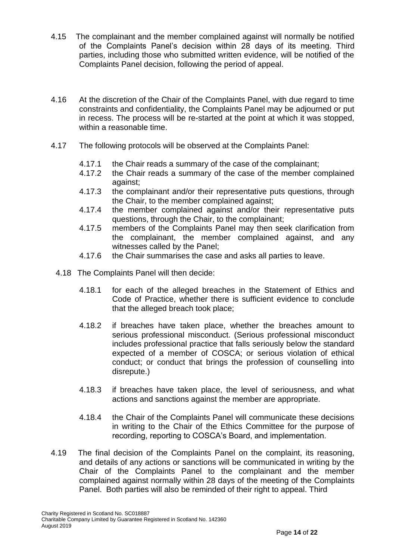- 4.15 The complainant and the member complained against will normally be notified of the Complaints Panel's decision within 28 days of its meeting. Third parties, including those who submitted written evidence, will be notified of the Complaints Panel decision, following the period of appeal.
- 4.16 At the discretion of the Chair of the Complaints Panel, with due regard to time constraints and confidentiality, the Complaints Panel may be adjourned or put in recess. The process will be re-started at the point at which it was stopped, within a reasonable time.
- 4.17 The following protocols will be observed at the Complaints Panel:
	- 4.17.1 the Chair reads a summary of the case of the complainant;
	- 4.17.2 the Chair reads a summary of the case of the member complained against;
	- 4.17.3 the complainant and/or their representative puts questions, through the Chair, to the member complained against;
	- 4.17.4 the member complained against and/or their representative puts questions, through the Chair, to the complainant;
	- 4.17.5 members of the Complaints Panel may then seek clarification from the complainant, the member complained against, and any witnesses called by the Panel;
	- 4.17.6 the Chair summarises the case and asks all parties to leave.
	- 4.18 The Complaints Panel will then decide:
		- 4.18.1 for each of the alleged breaches in the Statement of Ethics and Code of Practice, whether there is sufficient evidence to conclude that the alleged breach took place;
		- 4.18.2 if breaches have taken place, whether the breaches amount to serious professional misconduct. (Serious professional misconduct includes professional practice that falls seriously below the standard expected of a member of COSCA; or serious violation of ethical conduct; or conduct that brings the profession of counselling into disrepute.)
		- 4.18.3 if breaches have taken place, the level of seriousness, and what actions and sanctions against the member are appropriate.
		- 4.18.4 the Chair of the Complaints Panel will communicate these decisions in writing to the Chair of the Ethics Committee for the purpose of recording, reporting to COSCA's Board, and implementation.
- 4.19 The final decision of the Complaints Panel on the complaint, its reasoning, and details of any actions or sanctions will be communicated in writing by the Chair of the Complaints Panel to the complainant and the member complained against normally within 28 days of the meeting of the Complaints Panel. Both parties will also be reminded of their right to appeal. Third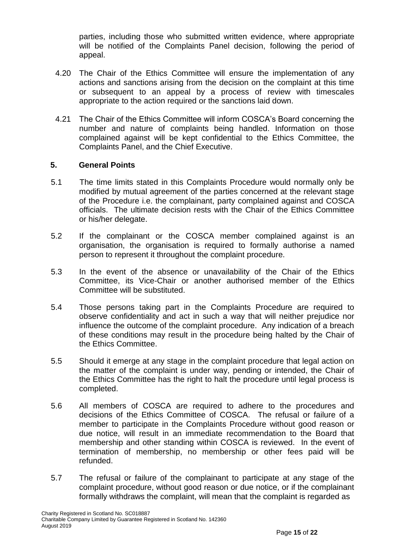parties, including those who submitted written evidence, where appropriate will be notified of the Complaints Panel decision, following the period of appeal.

- 4.20 The Chair of the Ethics Committee will ensure the implementation of any actions and sanctions arising from the decision on the complaint at this time or subsequent to an appeal by a process of review with timescales appropriate to the action required or the sanctions laid down.
- 4.21 The Chair of the Ethics Committee will inform COSCA's Board concerning the number and nature of complaints being handled. Information on those complained against will be kept confidential to the Ethics Committee, the Complaints Panel, and the Chief Executive.

#### **5. General Points**

- 5.1 The time limits stated in this Complaints Procedure would normally only be modified by mutual agreement of the parties concerned at the relevant stage of the Procedure i.e. the complainant, party complained against and COSCA officials. The ultimate decision rests with the Chair of the Ethics Committee or his/her delegate.
- 5.2 If the complainant or the COSCA member complained against is an organisation, the organisation is required to formally authorise a named person to represent it throughout the complaint procedure.
- 5.3 In the event of the absence or unavailability of the Chair of the Ethics Committee, its Vice-Chair or another authorised member of the Ethics Committee will be substituted.
- 5.4 Those persons taking part in the Complaints Procedure are required to observe confidentiality and act in such a way that will neither prejudice nor influence the outcome of the complaint procedure. Any indication of a breach of these conditions may result in the procedure being halted by the Chair of the Ethics Committee.
- 5.5 Should it emerge at any stage in the complaint procedure that legal action on the matter of the complaint is under way, pending or intended, the Chair of the Ethics Committee has the right to halt the procedure until legal process is completed.
- 5.6 All members of COSCA are required to adhere to the procedures and decisions of the Ethics Committee of COSCA. The refusal or failure of a member to participate in the Complaints Procedure without good reason or due notice, will result in an immediate recommendation to the Board that membership and other standing within COSCA is reviewed. In the event of termination of membership, no membership or other fees paid will be refunded.
- 5.7 The refusal or failure of the complainant to participate at any stage of the complaint procedure, without good reason or due notice, or if the complainant formally withdraws the complaint, will mean that the complaint is regarded as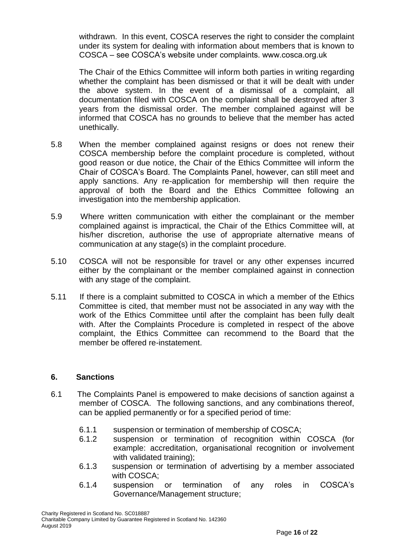withdrawn. In this event, COSCA reserves the right to consider the complaint under its system for dealing with information about members that is known to COSCA – see COSCA's website under complaints. www.cosca.org.uk

The Chair of the Ethics Committee will inform both parties in writing regarding whether the complaint has been dismissed or that it will be dealt with under the above system. In the event of a dismissal of a complaint, all documentation filed with COSCA on the complaint shall be destroyed after 3 years from the dismissal order. The member complained against will be informed that COSCA has no grounds to believe that the member has acted unethically.

- 5.8 When the member complained against resigns or does not renew their COSCA membership before the complaint procedure is completed, without good reason or due notice, the Chair of the Ethics Committee will inform the Chair of COSCA's Board. The Complaints Panel, however, can still meet and apply sanctions. Any re-application for membership will then require the approval of both the Board and the Ethics Committee following an investigation into the membership application.
- 5.9 Where written communication with either the complainant or the member complained against is impractical, the Chair of the Ethics Committee will, at his/her discretion, authorise the use of appropriate alternative means of communication at any stage(s) in the complaint procedure.
- 5.10 COSCA will not be responsible for travel or any other expenses incurred either by the complainant or the member complained against in connection with any stage of the complaint.
- 5.11 If there is a complaint submitted to COSCA in which a member of the Ethics Committee is cited, that member must not be associated in any way with the work of the Ethics Committee until after the complaint has been fully dealt with. After the Complaints Procedure is completed in respect of the above complaint, the Ethics Committee can recommend to the Board that the member be offered re-instatement.

#### **6. Sanctions**

- 6.1 The Complaints Panel is empowered to make decisions of sanction against a member of COSCA. The following sanctions, and any combinations thereof, can be applied permanently or for a specified period of time:
	- 6.1.1 suspension or termination of membership of COSCA;
	- 6.1.2 suspension or termination of recognition within COSCA (for example: accreditation, organisational recognition or involvement with validated training):
	- 6.1.3 suspension or termination of advertising by a member associated with COSCA;
	- 6.1.4 suspension or termination of any roles in COSCA's Governance/Management structure;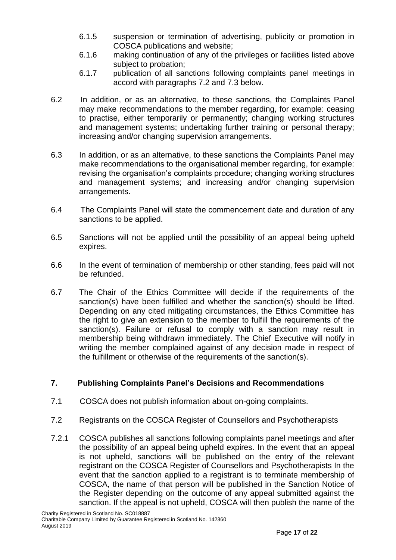- 6.1.5 suspension or termination of advertising, publicity or promotion in COSCA publications and website;
- 6.1.6 making continuation of any of the privileges or facilities listed above subject to probation;
- 6.1.7 publication of all sanctions following complaints panel meetings in accord with paragraphs 7.2 and 7.3 below.
- 6.2 In addition, or as an alternative, to these sanctions, the Complaints Panel may make recommendations to the member regarding, for example: ceasing to practise, either temporarily or permanently; changing working structures and management systems; undertaking further training or personal therapy; increasing and/or changing supervision arrangements.
- 6.3 In addition, or as an alternative, to these sanctions the Complaints Panel may make recommendations to the organisational member regarding, for example: revising the organisation's complaints procedure; changing working structures and management systems; and increasing and/or changing supervision arrangements.
- 6.4 The Complaints Panel will state the commencement date and duration of any sanctions to be applied.
- 6.5 Sanctions will not be applied until the possibility of an appeal being upheld expires.
- 6.6 In the event of termination of membership or other standing, fees paid will not be refunded.
- 6.7 The Chair of the Ethics Committee will decide if the requirements of the sanction(s) have been fulfilled and whether the sanction(s) should be lifted. Depending on any cited mitigating circumstances, the Ethics Committee has the right to give an extension to the member to fulfill the requirements of the sanction(s). Failure or refusal to comply with a sanction may result in membership being withdrawn immediately. The Chief Executive will notify in writing the member complained against of any decision made in respect of the fulfillment or otherwise of the requirements of the sanction(s).

## **7. Publishing Complaints Panel's Decisions and Recommendations**

- 7.1 COSCA does not publish information about on-going complaints.
- 7.2 Registrants on the COSCA Register of Counsellors and Psychotherapists
- 7.2.1 COSCA publishes all sanctions following complaints panel meetings and after the possibility of an appeal being upheld expires. In the event that an appeal is not upheld, sanctions will be published on the entry of the relevant registrant on the COSCA Register of Counsellors and Psychotherapists In the event that the sanction applied to a registrant is to terminate membership of COSCA, the name of that person will be published in the Sanction Notice of the Register depending on the outcome of any appeal submitted against the sanction. If the appeal is not upheld, COSCA will then publish the name of the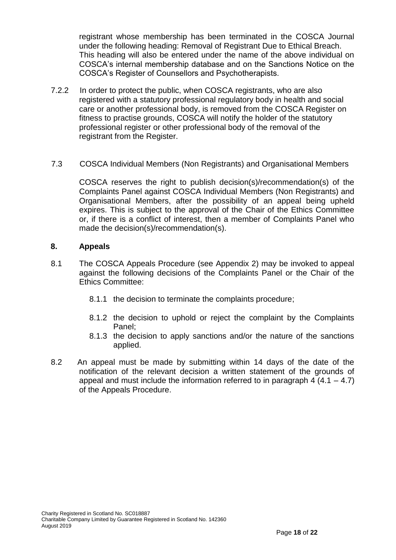registrant whose membership has been terminated in the COSCA Journal under the following heading: Removal of Registrant Due to Ethical Breach. This heading will also be entered under the name of the above individual on COSCA's internal membership database and on the Sanctions Notice on the COSCA's Register of Counsellors and Psychotherapists.

- 7.2.2 In order to protect the public, when COSCA registrants, who are also registered with a statutory professional regulatory body in health and social care or another professional body, is removed from the COSCA Register on fitness to practise grounds, COSCA will notify the holder of the statutory professional register or other professional body of the removal of the registrant from the Register.
- 7.3 COSCA Individual Members (Non Registrants) and Organisational Members

COSCA reserves the right to publish decision(s)/recommendation(s) of the Complaints Panel against COSCA Individual Members (Non Registrants) and Organisational Members, after the possibility of an appeal being upheld expires. This is subject to the approval of the Chair of the Ethics Committee or, if there is a conflict of interest, then a member of Complaints Panel who made the decision(s)/recommendation(s).

#### **8. Appeals**

- 8.1 The COSCA Appeals Procedure (see Appendix 2) may be invoked to appeal against the following decisions of the Complaints Panel or the Chair of the Ethics Committee:
	- 8.1.1 the decision to terminate the complaints procedure;
	- 8.1.2 the decision to uphold or reject the complaint by the Complaints Panel;
	- 8.1.3 the decision to apply sanctions and/or the nature of the sanctions applied.
- 8.2 An appeal must be made by submitting within 14 days of the date of the notification of the relevant decision a written statement of the grounds of appeal and must include the information referred to in paragraph 4  $(4.1 - 4.7)$ of the Appeals Procedure.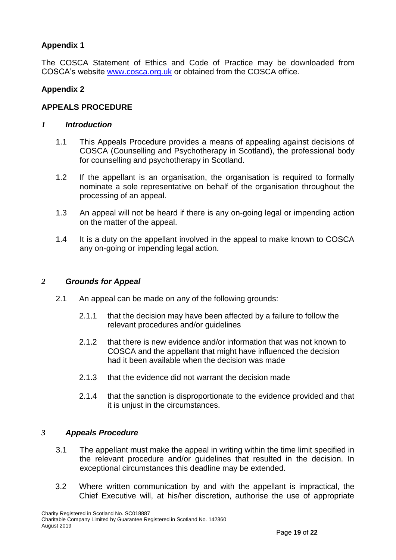## **Appendix 1**

The COSCA Statement of Ethics and Code of Practice may be downloaded from COSCA's website www.cosca.org.uk or obtained from the COSCA office.

### **Appendix 2**

#### **APPEALS PROCEDURE**

#### *1 Introduction*

- 1.1 This Appeals Procedure provides a means of appealing against decisions of COSCA (Counselling and Psychotherapy in Scotland), the professional body for counselling and psychotherapy in Scotland.
- 1.2 If the appellant is an organisation, the organisation is required to formally nominate a sole representative on behalf of the organisation throughout the processing of an appeal.
- 1.3 An appeal will not be heard if there is any on-going legal or impending action on the matter of the appeal.
- 1.4 It is a duty on the appellant involved in the appeal to make known to COSCA any on-going or impending legal action.

#### *2 Grounds for Appeal*

- 2.1 An appeal can be made on any of the following grounds:
	- 2.1.1 that the decision may have been affected by a failure to follow the relevant procedures and/or guidelines
	- 2.1.2 that there is new evidence and/or information that was not known to COSCA and the appellant that might have influenced the decision had it been available when the decision was made
	- 2.1.3 that the evidence did not warrant the decision made
	- 2.1.4 that the sanction is disproportionate to the evidence provided and that it is unjust in the circumstances.

#### *3 Appeals Procedure*

- 3.1 The appellant must make the appeal in writing within the time limit specified in the relevant procedure and/or guidelines that resulted in the decision. In exceptional circumstances this deadline may be extended.
- 3.2 Where written communication by and with the appellant is impractical, the Chief Executive will, at his/her discretion, authorise the use of appropriate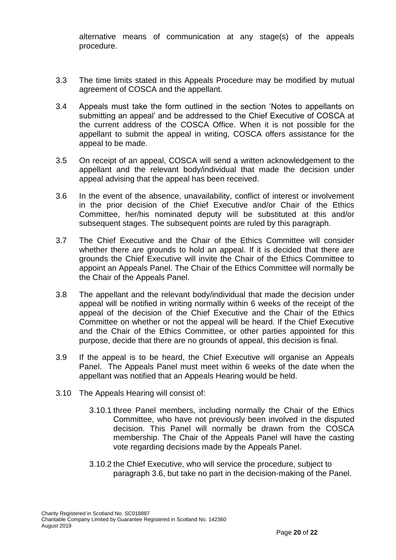alternative means of communication at any stage(s) of the appeals procedure.

- 3.3 The time limits stated in this Appeals Procedure may be modified by mutual agreement of COSCA and the appellant.
- 3.4 Appeals must take the form outlined in the section 'Notes to appellants on submitting an appeal' and be addressed to the Chief Executive of COSCA at the current address of the COSCA Office. When it is not possible for the appellant to submit the appeal in writing, COSCA offers assistance for the appeal to be made.
- 3.5 On receipt of an appeal, COSCA will send a written acknowledgement to the appellant and the relevant body/individual that made the decision under appeal advising that the appeal has been received.
- 3.6 In the event of the absence, unavailability, conflict of interest or involvement in the prior decision of the Chief Executive and/or Chair of the Ethics Committee, her/his nominated deputy will be substituted at this and/or subsequent stages. The subsequent points are ruled by this paragraph.
- 3.7 The Chief Executive and the Chair of the Ethics Committee will consider whether there are grounds to hold an appeal. If it is decided that there are grounds the Chief Executive will invite the Chair of the Ethics Committee to appoint an Appeals Panel. The Chair of the Ethics Committee will normally be the Chair of the Appeals Panel.
- 3.8 The appellant and the relevant body/individual that made the decision under appeal will be notified in writing normally within 6 weeks of the receipt of the appeal of the decision of the Chief Executive and the Chair of the Ethics Committee on whether or not the appeal will be heard. If the Chief Executive and the Chair of the Ethics Committee, or other parties appointed for this purpose, decide that there are no grounds of appeal, this decision is final.
- 3.9 If the appeal is to be heard, the Chief Executive will organise an Appeals Panel. The Appeals Panel must meet within 6 weeks of the date when the appellant was notified that an Appeals Hearing would be held.
- 3.10 The Appeals Hearing will consist of:
	- 3.10.1 three Panel members, including normally the Chair of the Ethics Committee, who have not previously been involved in the disputed decision. This Panel will normally be drawn from the COSCA membership. The Chair of the Appeals Panel will have the casting vote regarding decisions made by the Appeals Panel.
	- 3.10.2 the Chief Executive, who will service the procedure, subject to paragraph 3.6, but take no part in the decision-making of the Panel.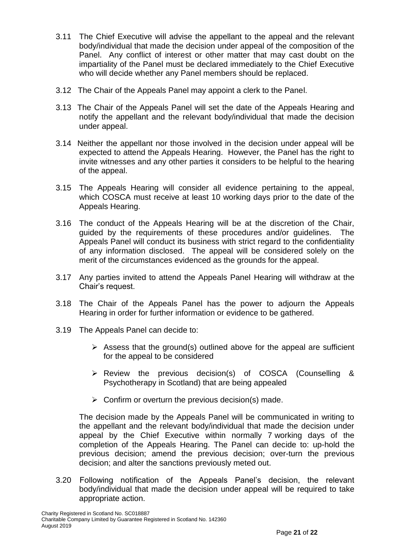- 3.11 The Chief Executive will advise the appellant to the appeal and the relevant body/individual that made the decision under appeal of the composition of the Panel. Any conflict of interest or other matter that may cast doubt on the impartiality of the Panel must be declared immediately to the Chief Executive who will decide whether any Panel members should be replaced.
- 3.12 The Chair of the Appeals Panel may appoint a clerk to the Panel.
- 3.13 The Chair of the Appeals Panel will set the date of the Appeals Hearing and notify the appellant and the relevant body/individual that made the decision under appeal.
- 3.14 Neither the appellant nor those involved in the decision under appeal will be expected to attend the Appeals Hearing. However, the Panel has the right to invite witnesses and any other parties it considers to be helpful to the hearing of the appeal.
- 3.15 The Appeals Hearing will consider all evidence pertaining to the appeal, which COSCA must receive at least 10 working days prior to the date of the Appeals Hearing.
- 3.16 The conduct of the Appeals Hearing will be at the discretion of the Chair, guided by the requirements of these procedures and/or guidelines. The Appeals Panel will conduct its business with strict regard to the confidentiality of any information disclosed. The appeal will be considered solely on the merit of the circumstances evidenced as the grounds for the appeal.
- 3.17 Any parties invited to attend the Appeals Panel Hearing will withdraw at the Chair's request.
- 3.18 The Chair of the Appeals Panel has the power to adjourn the Appeals Hearing in order for further information or evidence to be gathered.
- 3.19 The Appeals Panel can decide to:
	- $\triangleright$  Assess that the ground(s) outlined above for the appeal are sufficient for the appeal to be considered
	- Review the previous decision(s) of COSCA (Counselling & Psychotherapy in Scotland) that are being appealed
	- $\triangleright$  Confirm or overturn the previous decision(s) made.

The decision made by the Appeals Panel will be communicated in writing to the appellant and the relevant body/individual that made the decision under appeal by the Chief Executive within normally 7 working days of the completion of the Appeals Hearing. The Panel can decide to: up-hold the previous decision; amend the previous decision; over-turn the previous decision; and alter the sanctions previously meted out.

3.20 Following notification of the Appeals Panel's decision, the relevant body/individual that made the decision under appeal will be required to take appropriate action.